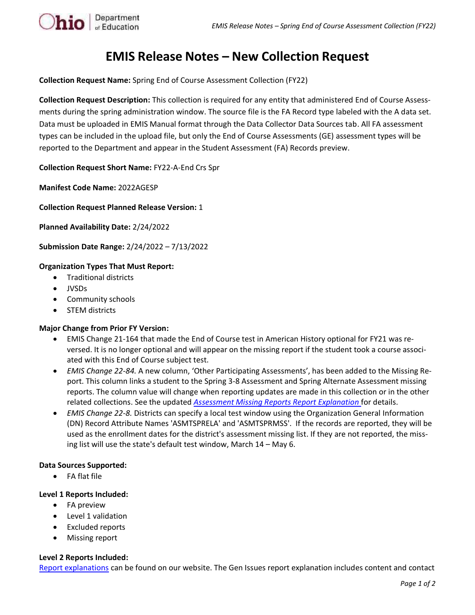

**Collection Request Name:** Spring End of Course Assessment Collection (FY22)

**Collection Request Description:** This collection is required for any entity that administered End of Course Assessments during the spring administration window. The source file is the FA Record type labeled with the A data set. Data must be uploaded in EMIS Manual format through the Data Collector Data Sources tab. All FA assessment types can be included in the upload file, but only the End of Course Assessments (GE) assessment types will be reported to the Department and appear in the Student Assessment (FA) Records preview.

**Collection Request Short Name:** FY22-A-End Crs Spr

**Manifest Code Name:** 2022AGESP

 $\Delta$ hio  $\int_{\text{or} \text{ Education}}^{\text{Department}}$ 

**Collection Request Planned Release Version:** 1

**Planned Availability Date:** 2/24/2022

**Submission Date Range:** 2/24/2022 – 7/13/2022

# **Organization Types That Must Report:**

- Traditional districts
- JVSDs
- Community schools
- STEM districts

## **Major Change from Prior FY Version:**

- EMIS Change 21-164 that made the End of Course test in American History optional for FY21 was reversed. It is no longer optional and will appear on the missing report if the student took a course associated with this End of Course subject test.
- *EMIS Change 22-84.* A new column, 'Other Participating Assessments', has been added to the Missing Report. This column links a student to the Spring 3-8 Assessment and Spring Alternate Assessment missing reports. The column value will change when reporting updates are made in this collection or in the other related collections. See the updated *[Assessment Missing Reports Report Explanation](https://education.ohio.gov/Topics/Data/EMIS/EMIS-Documentation/FY16-EMIS-Validation-and-Report-Explanation-Docume)* for details.
- *EMIS Change 22-8.* Districts can specify a local test window using the Organization General Information (DN) Record Attribute Names 'ASMTSPRELA' and 'ASMTSPRMSS'. If the records are reported, they will be used as the enrollment dates for the district's assessment missing list. If they are not reported, the missing list will use the state's default test window, March 14 – May 6.

## **Data Sources Supported:**

• FA flat file

## **Level 1 Reports Included:**

- FA preview
- Level 1 validation
- Excluded reports
- Missing report

## **Level 2 Reports Included:**

[Report explanations](https://education.ohio.gov/Topics/Data/EMIS/EMIS-Documentation/FY16-EMIS-Validation-and-Report-Explanation-Docume) can be found on our website. The Gen Issues report explanation includes content and contact